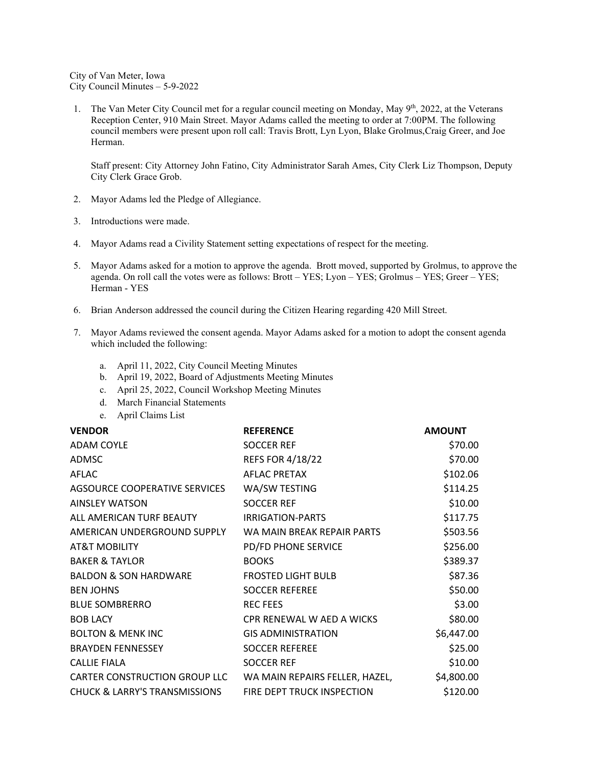City of Van Meter, Iowa City Council Minutes – 5-9-2022

1. The Van Meter City Council met for a regular council meeting on Monday, May  $9<sup>th</sup>$ , 2022, at the Veterans Reception Center, 910 Main Street. Mayor Adams called the meeting to order at 7:00PM. The following council members were present upon roll call: Travis Brott, Lyn Lyon, Blake Grolmus, Craig Greer, and Joe Herman.

Staff present: City Attorney John Fatino, City Administrator Sarah Ames, City Clerk Liz Thompson, Deputy City Clerk Grace Grob.

- 2. Mayor Adams led the Pledge of Allegiance.
- 3. Introductions were made.
- 4. Mayor Adams read a Civility Statement setting expectations of respect for the meeting.
- 5. Mayor Adams asked for a motion to approve the agenda. Brott moved, supported by Grolmus, to approve the agenda. On roll call the votes were as follows: Brott – YES; Lyon – YES; Grolmus – YES; Greer – YES; Herman - YES
- 6. Brian Anderson addressed the council during the Citizen Hearing regarding 420 Mill Street.
- 7. Mayor Adams reviewed the consent agenda. Mayor Adams asked for a motion to adopt the consent agenda which included the following:
	- a. April 11, 2022, City Council Meeting Minutes
	- b. April 19, 2022, Board of Adjustments Meeting Minutes
	- c. April 25, 2022, Council Workshop Meeting Minutes
	- d. March Financial Statements
	- e. April Claims List

| <b>VENDOR</b>                                                 | <b>REFERENCE</b>           | <b>AMOUNT</b> |
|---------------------------------------------------------------|----------------------------|---------------|
| <b>ADAM COYLE</b>                                             | <b>SOCCER REF</b>          | \$70.00       |
| ADMSC                                                         | <b>REFS FOR 4/18/22</b>    | \$70.00       |
| AFLAC                                                         | <b>AFLAC PRETAX</b>        | \$102.06      |
| AGSOURCE COOPERATIVE SERVICES                                 | WA/SW TESTING              | \$114.25      |
| <b>AINSLEY WATSON</b>                                         | <b>SOCCER REF</b>          | \$10.00       |
| ALL AMERICAN TURF BEAUTY                                      | IRRIGATION-PARTS           | \$117.75      |
| AMERICAN UNDERGROUND SUPPLY                                   | WA MAIN BREAK REPAIR PARTS | \$503.56      |
| AT&T MOBILITY                                                 | PD/FD PHONE SERVICE        | \$256.00      |
| <b>BAKER &amp; TAYLOR</b>                                     | <b>BOOKS</b>               | \$389.37      |
| <b>BALDON &amp; SON HARDWARE</b>                              | <b>FROSTED LIGHT BULB</b>  | \$87.36       |
| <b>BEN JOHNS</b>                                              | <b>SOCCER REFEREE</b>      | \$50.00       |
| <b>BLUE SOMBRERRO</b>                                         | <b>REC FEES</b>            | \$3.00        |
| <b>BOB LACY</b>                                               | CPR RENEWAL W AED A WICKS  | \$80.00       |
| <b>BOLTON &amp; MENK INC</b>                                  | <b>GIS ADMINISTRATION</b>  | \$6,447.00    |
| <b>BRAYDEN FENNESSEY</b>                                      | <b>SOCCER REFEREE</b>      | \$25.00       |
| <b>CALLIE FIALA</b>                                           | <b>SOCCER REF</b>          | \$10.00       |
| CARTER CONSTRUCTION GROUP LLC  VA MAIN REPAIRS FELLER, HAZEL, |                            | \$4,800.00    |
| <b>CHUCK &amp; LARRY'S TRANSMISSIONS</b>                      | FIRE DEPT TRUCK INSPECTION | \$120.00      |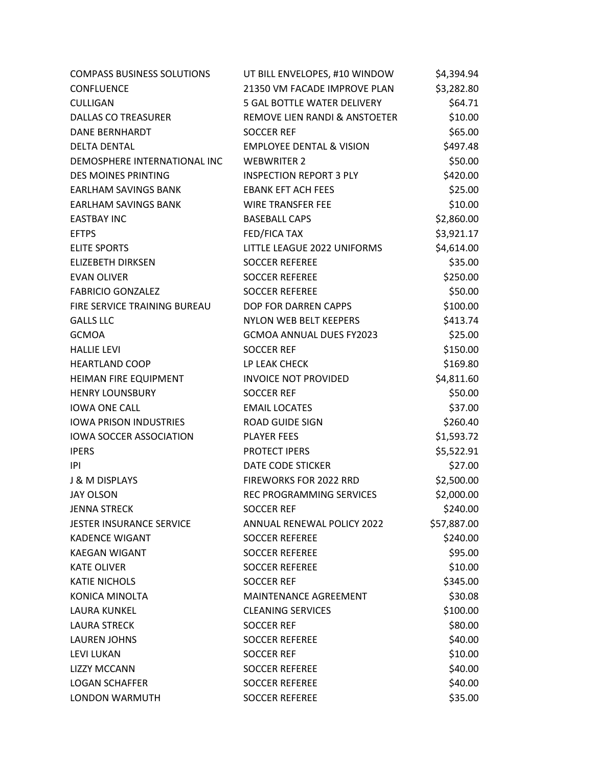| <b>COMPASS BUSINESS SOLUTIONS</b> | UT BILL ENVELOPES, #10 WINDOW       | \$4,394.94  |
|-----------------------------------|-------------------------------------|-------------|
| <b>CONFLUENCE</b>                 | 21350 VM FACADE IMPROVE PLAN        | \$3,282.80  |
| CULLIGAN                          | 5 GAL BOTTLE WATER DELIVERY         | \$64.71     |
| <b>DALLAS CO TREASURER</b>        | REMOVE LIEN RANDI & ANSTOETER       | \$10.00     |
| <b>DANE BERNHARDT</b>             | <b>SOCCER REF</b>                   | \$65.00     |
| <b>DELTA DENTAL</b>               | <b>EMPLOYEE DENTAL &amp; VISION</b> | \$497.48    |
| DEMOSPHERE INTERNATIONAL INC      | <b>WEBWRITER 2</b>                  | \$50.00     |
| <b>DES MOINES PRINTING</b>        | <b>INSPECTION REPORT 3 PLY</b>      | \$420.00    |
| <b>EARLHAM SAVINGS BANK</b>       | <b>EBANK EFT ACH FEES</b>           | \$25.00     |
| <b>EARLHAM SAVINGS BANK</b>       | <b>WIRE TRANSFER FEE</b>            | \$10.00     |
| <b>EASTBAY INC</b>                | <b>BASEBALL CAPS</b>                | \$2,860.00  |
| <b>EFTPS</b>                      | FED/FICA TAX                        | \$3,921.17  |
| <b>ELITE SPORTS</b>               | LITTLE LEAGUE 2022 UNIFORMS         | \$4,614.00  |
| <b>ELIZEBETH DIRKSEN</b>          | <b>SOCCER REFEREE</b>               | \$35.00     |
| <b>EVAN OLIVER</b>                | <b>SOCCER REFEREE</b>               | \$250.00    |
| <b>FABRICIO GONZALEZ</b>          | <b>SOCCER REFEREE</b>               | \$50.00     |
| FIRE SERVICE TRAINING BUREAU      | DOP FOR DARREN CAPPS                | \$100.00    |
| <b>GALLS LLC</b>                  | NYLON WEB BELT KEEPERS              | \$413.74    |
| <b>GCMOA</b>                      | <b>GCMOA ANNUAL DUES FY2023</b>     | \$25.00     |
| <b>HALLIE LEVI</b>                | <b>SOCCER REF</b>                   | \$150.00    |
| <b>HEARTLAND COOP</b>             | LP LEAK CHECK                       | \$169.80    |
| HEIMAN FIRE EQUIPMENT             | <b>INVOICE NOT PROVIDED</b>         | \$4,811.60  |
| <b>HENRY LOUNSBURY</b>            | <b>SOCCER REF</b>                   | \$50.00     |
| <b>IOWA ONE CALL</b>              | <b>EMAIL LOCATES</b>                | \$37.00     |
| <b>IOWA PRISON INDUSTRIES</b>     | ROAD GUIDE SIGN                     | \$260.40    |
| <b>IOWA SOCCER ASSOCIATION</b>    | <b>PLAYER FEES</b>                  | \$1,593.72  |
| <b>IPERS</b>                      | PROTECT IPERS                       | \$5,522.91  |
| IPI                               | <b>DATE CODE STICKER</b>            | \$27.00     |
| <b>J &amp; M DISPLAYS</b>         | <b>FIREWORKS FOR 2022 RRD</b>       | \$2,500.00  |
| <b>JAY OLSON</b>                  | REC PROGRAMMING SERVICES            | \$2,000.00  |
| <b>JENNA STRECK</b>               | <b>SOCCER REF</b>                   | \$240.00    |
| <b>JESTER INSURANCE SERVICE</b>   | <b>ANNUAL RENEWAL POLICY 2022</b>   | \$57,887.00 |
| <b>KADENCE WIGANT</b>             | <b>SOCCER REFEREE</b>               | \$240.00    |
| <b>KAEGAN WIGANT</b>              | <b>SOCCER REFEREE</b>               | \$95.00     |
| <b>KATE OLIVER</b>                | <b>SOCCER REFEREE</b>               | \$10.00     |
| <b>KATIE NICHOLS</b>              | <b>SOCCER REF</b>                   | \$345.00    |
| <b>KONICA MINOLTA</b>             | <b>MAINTENANCE AGREEMENT</b>        | \$30.08     |
| <b>LAURA KUNKEL</b>               | <b>CLEANING SERVICES</b>            | \$100.00    |
| <b>LAURA STRECK</b>               | <b>SOCCER REF</b>                   | \$80.00     |
| <b>LAUREN JOHNS</b>               | <b>SOCCER REFEREE</b>               | \$40.00     |
| LEVI LUKAN                        | <b>SOCCER REF</b>                   | \$10.00     |
| <b>LIZZY MCCANN</b>               | <b>SOCCER REFEREE</b>               | \$40.00     |
| <b>LOGAN SCHAFFER</b>             | <b>SOCCER REFEREE</b>               | \$40.00     |
| LONDON WARMUTH                    | <b>SOCCER REFEREE</b>               | \$35.00     |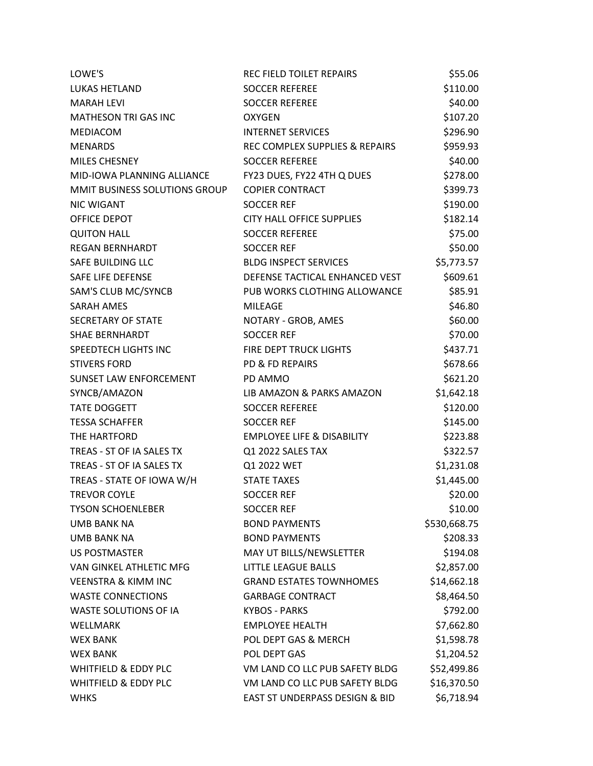| LOWE'S                          | REC FIELD TOILET REPAIRS              | \$55.06      |
|---------------------------------|---------------------------------------|--------------|
| LUKAS HETLAND                   | <b>SOCCER REFEREE</b>                 | \$110.00     |
| <b>MARAH LEVI</b>               | <b>SOCCER REFEREE</b>                 | \$40.00      |
| <b>MATHESON TRI GAS INC</b>     | <b>OXYGEN</b>                         | \$107.20     |
| <b>MEDIACOM</b>                 | <b>INTERNET SERVICES</b>              | \$296.90     |
| <b>MENARDS</b>                  | REC COMPLEX SUPPLIES & REPAIRS        | \$959.93     |
| MILES CHESNEY                   | <b>SOCCER REFEREE</b>                 | \$40.00      |
| MID-IOWA PLANNING ALLIANCE      | FY23 DUES, FY22 4TH Q DUES            | \$278.00     |
| MMIT BUSINESS SOLUTIONS GROUP   | <b>COPIER CONTRACT</b>                | \$399.73     |
| <b>NIC WIGANT</b>               | <b>SOCCER REF</b>                     | \$190.00     |
| OFFICE DEPOT                    | CITY HALL OFFICE SUPPLIES             | \$182.14     |
| <b>QUITON HALL</b>              | <b>SOCCER REFEREE</b>                 | \$75.00      |
| <b>REGAN BERNHARDT</b>          | <b>SOCCER REF</b>                     | \$50.00      |
| SAFE BUILDING LLC               | <b>BLDG INSPECT SERVICES</b>          | \$5,773.57   |
| SAFE LIFE DEFENSE               | DEFENSE TACTICAL ENHANCED VEST        | \$609.61     |
| <b>SAM'S CLUB MC/SYNCB</b>      | PUB WORKS CLOTHING ALLOWANCE          | \$85.91      |
| <b>SARAH AMES</b>               | MILEAGE                               | \$46.80      |
| SECRETARY OF STATE              | NOTARY - GROB, AMES                   | \$60.00      |
| <b>SHAE BERNHARDT</b>           | <b>SOCCER REF</b>                     | \$70.00      |
| SPEEDTECH LIGHTS INC            | FIRE DEPT TRUCK LIGHTS                | \$437.71     |
| <b>STIVERS FORD</b>             | PD & FD REPAIRS                       | \$678.66     |
| SUNSET LAW ENFORCEMENT          | PD AMMO                               | \$621.20     |
| SYNCB/AMAZON                    | LIB AMAZON & PARKS AMAZON             | \$1,642.18   |
| <b>TATE DOGGETT</b>             | <b>SOCCER REFEREE</b>                 | \$120.00     |
| <b>TESSA SCHAFFER</b>           | <b>SOCCER REF</b>                     | \$145.00     |
| THE HARTFORD                    | <b>EMPLOYEE LIFE &amp; DISABILITY</b> | \$223.88     |
| TREAS - ST OF IA SALES TX       | Q1 2022 SALES TAX                     | \$322.57     |
| TREAS - ST OF IA SALES TX       | Q1 2022 WET                           | \$1,231.08   |
| TREAS - STATE OF IOWA W/H       | <b>STATE TAXES</b>                    | \$1,445.00   |
| <b>TREVOR COYLE</b>             | <b>SOCCER REF</b>                     | \$20.00      |
| <b>TYSON SCHOENLEBER</b>        | <b>SOCCER REF</b>                     | \$10.00      |
| <b>UMB BANK NA</b>              | <b>BOND PAYMENTS</b>                  | \$530,668.75 |
| UMB BANK NA                     | <b>BOND PAYMENTS</b>                  | \$208.33     |
| <b>US POSTMASTER</b>            | MAY UT BILLS/NEWSLETTER               | \$194.08     |
| VAN GINKEL ATHLETIC MFG         | <b>LITTLE LEAGUE BALLS</b>            | \$2,857.00   |
| <b>VEENSTRA &amp; KIMM INC</b>  | <b>GRAND ESTATES TOWNHOMES</b>        | \$14,662.18  |
| <b>WASTE CONNECTIONS</b>        | <b>GARBAGE CONTRACT</b>               | \$8,464.50   |
| WASTE SOLUTIONS OF IA           | <b>KYBOS - PARKS</b>                  | \$792.00     |
| <b>WELLMARK</b>                 | <b>EMPLOYEE HEALTH</b>                | \$7,662.80   |
| <b>WEX BANK</b>                 | POL DEPT GAS & MERCH                  | \$1,598.78   |
| <b>WEX BANK</b>                 | POL DEPT GAS                          | \$1,204.52   |
| <b>WHITFIELD &amp; EDDY PLC</b> | VM LAND CO LLC PUB SAFETY BLDG        | \$52,499.86  |
| <b>WHITFIELD &amp; EDDY PLC</b> | VM LAND CO LLC PUB SAFETY BLDG        | \$16,370.50  |
| <b>WHKS</b>                     | EAST ST UNDERPASS DESIGN & BID        | \$6,718.94   |